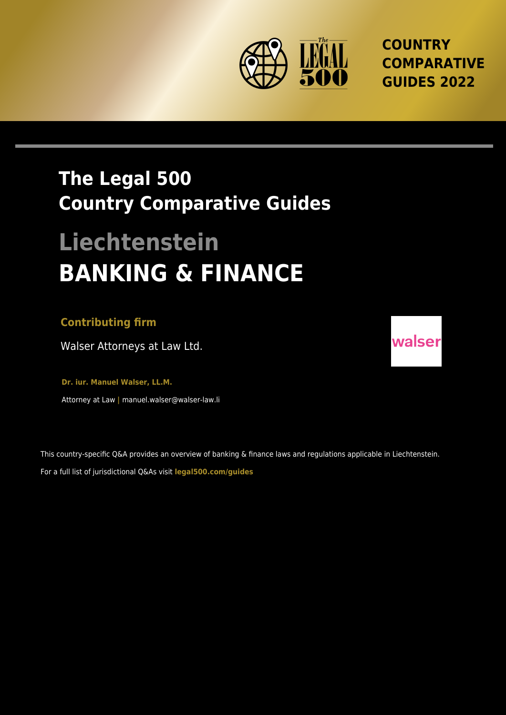

**COUNTRY COMPARATIVE GUIDES 2022**

## **The Legal 500 Country Comparative Guides**

# **Liechtenstein BANKING & FINANCE**

#### **Contributing firm**

Walser Attorneys at Law Ltd.

**Dr. iur. Manuel Walser, LL.M.** Attorney at Law **|** manuel.walser@walser-law.li

This country-specific Q&A provides an overview of banking & finance laws and regulations applicable in Liechtenstein. For a full list of jurisdictional Q&As visit **[legal500.com/guides](https://www.legal500.com/guides/)**

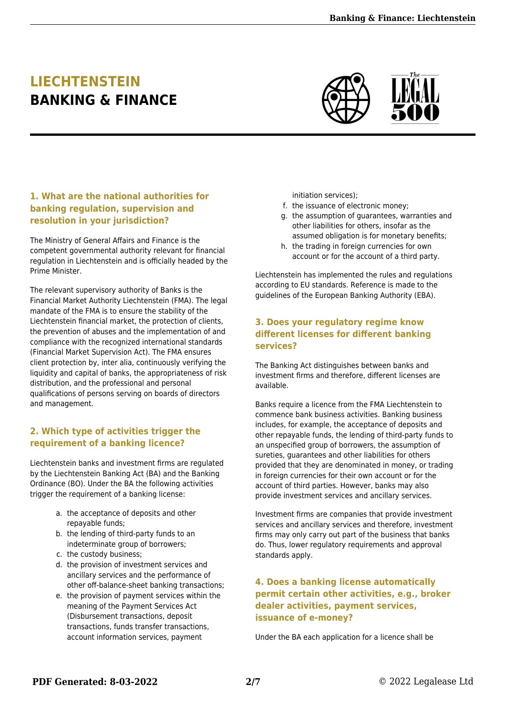### **LIECHTENSTEIN BANKING & FINANCE**



#### **1. What are the national authorities for banking regulation, supervision and resolution in your jurisdiction?**

The Ministry of General Affairs and Finance is the competent governmental authority relevant for financial regulation in Liechtenstein and is officially headed by the Prime Minister.

The relevant supervisory authority of Banks is the Financial Market Authority Liechtenstein (FMA). The legal mandate of the FMA is to ensure the stability of the Liechtenstein financial market, the protection of clients, the prevention of abuses and the implementation of and compliance with the recognized international standards (Financial Market Supervision Act). The FMA ensures client protection by, inter alia, continuously verifying the liquidity and capital of banks, the appropriateness of risk distribution, and the professional and personal qualifications of persons serving on boards of directors and management.

#### **2. Which type of activities trigger the requirement of a banking licence?**

Liechtenstein banks and investment firms are regulated by the Liechtenstein Banking Act (BA) and the Banking Ordinance (BO). Under the BA the following activities trigger the requirement of a banking license:

- a. the acceptance of deposits and other repayable funds;
- b. the lending of third-party funds to an indeterminate group of borrowers;
- c. the custody business;
- d. the provision of investment services and ancillary services and the performance of other off-balance-sheet banking transactions;
- e. the provision of payment services within the meaning of the Payment Services Act (Disbursement transactions, deposit transactions, funds transfer transactions, account information services, payment

initiation services);

- f. the issuance of electronic money;
- g. the assumption of guarantees, warranties and other liabilities for others, insofar as the assumed obligation is for monetary benefits;
- h. the trading in foreign currencies for own account or for the account of a third party.

Liechtenstein has implemented the rules and regulations according to EU standards. Reference is made to the guidelines of the European Banking Authority (EBA).

#### **3. Does your regulatory regime know different licenses for different banking services?**

The Banking Act distinguishes between banks and investment firms and therefore, different licenses are available.

Banks require a licence from the FMA Liechtenstein to commence bank business activities. Banking business includes, for example, the acceptance of deposits and other repayable funds, the lending of third-party funds to an unspecified group of borrowers, the assumption of sureties, guarantees and other liabilities for others provided that they are denominated in money, or trading in foreign currencies for their own account or for the account of third parties. However, banks may also provide investment services and ancillary services.

Investment firms are companies that provide investment services and ancillary services and therefore, investment firms may only carry out part of the business that banks do. Thus, lower regulatory requirements and approval standards apply.

#### **4. Does a banking license automatically permit certain other activities, e.g., broker dealer activities, payment services, issuance of e-money?**

Under the BA each application for a licence shall be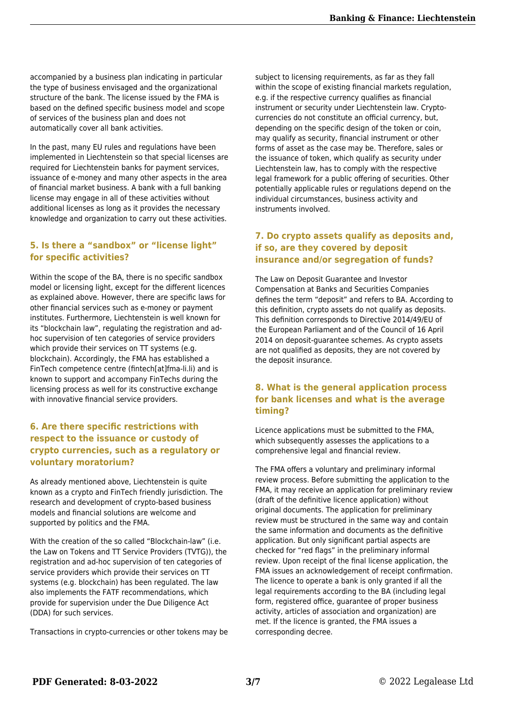accompanied by a business plan indicating in particular the type of business envisaged and the organizational structure of the bank. The license issued by the FMA is based on the defined specific business model and scope of services of the business plan and does not automatically cover all bank activities.

In the past, many EU rules and regulations have been implemented in Liechtenstein so that special licenses are required for Liechtenstein banks for payment services, issuance of e-money and many other aspects in the area of financial market business. A bank with a full banking license may engage in all of these activities without additional licenses as long as it provides the necessary knowledge and organization to carry out these activities.

#### **5. Is there a "sandbox" or "license light" for specific activities?**

Within the scope of the BA, there is no specific sandbox model or licensing light, except for the different licences as explained above. However, there are specific laws for other financial services such as e-money or payment institutes. Furthermore, Liechtenstein is well known for its "blockchain law", regulating the registration and adhoc supervision of ten categories of service providers which provide their services on TT systems (e.g. blockchain). Accordingly, the FMA has established a FinTech competence centre (fintech[at]fma-li.li) and is known to support and accompany FinTechs during the licensing process as well for its constructive exchange with innovative financial service providers.

#### **6. Are there specific restrictions with respect to the issuance or custody of crypto currencies, such as a regulatory or voluntary moratorium?**

As already mentioned above, Liechtenstein is quite known as a crypto and FinTech friendly jurisdiction. The research and development of crypto-based business models and financial solutions are welcome and supported by politics and the FMA.

With the creation of the so called "Blockchain-law" (i.e. the Law on Tokens and TT Service Providers (TVTG)), the registration and ad-hoc supervision of ten categories of service providers which provide their services on TT systems (e.g. blockchain) has been regulated. The law also implements the FATF recommendations, which provide for supervision under the Due Diligence Act (DDA) for such services.

Transactions in crypto-currencies or other tokens may be

subject to licensing requirements, as far as they fall within the scope of existing financial markets regulation, e.g. if the respective currency qualifies as financial instrument or security under Liechtenstein law. Cryptocurrencies do not constitute an official currency, but, depending on the specific design of the token or coin, may qualify as security, financial instrument or other forms of asset as the case may be. Therefore, sales or the issuance of token, which qualify as security under Liechtenstein law, has to comply with the respective legal framework for a public offering of securities. Other potentially applicable rules or regulations depend on the individual circumstances, business activity and instruments involved.

#### **7. Do crypto assets qualify as deposits and, if so, are they covered by deposit insurance and/or segregation of funds?**

The Law on Deposit Guarantee and Investor Compensation at Banks and Securities Companies defines the term "deposit" and refers to BA. According to this definition, crypto assets do not qualify as deposits. This definition corresponds to Directive 2014/49/EU of the European Parliament and of the Council of 16 April 2014 on deposit-guarantee schemes. As crypto assets are not qualified as deposits, they are not covered by the deposit insurance.

#### **8. What is the general application process for bank licenses and what is the average timing?**

Licence applications must be submitted to the FMA, which subsequently assesses the applications to a comprehensive legal and financial review.

The FMA offers a voluntary and preliminary informal review process. Before submitting the application to the FMA, it may receive an application for preliminary review (draft of the definitive licence application) without original documents. The application for preliminary review must be structured in the same way and contain the same information and documents as the definitive application. But only significant partial aspects are checked for "red flags" in the preliminary informal review. Upon receipt of the final license application, the FMA issues an acknowledgement of receipt confirmation. The licence to operate a bank is only granted if all the legal requirements according to the BA (including legal form, registered office, guarantee of proper business activity, articles of association and organization) are met. If the licence is granted, the FMA issues a corresponding decree.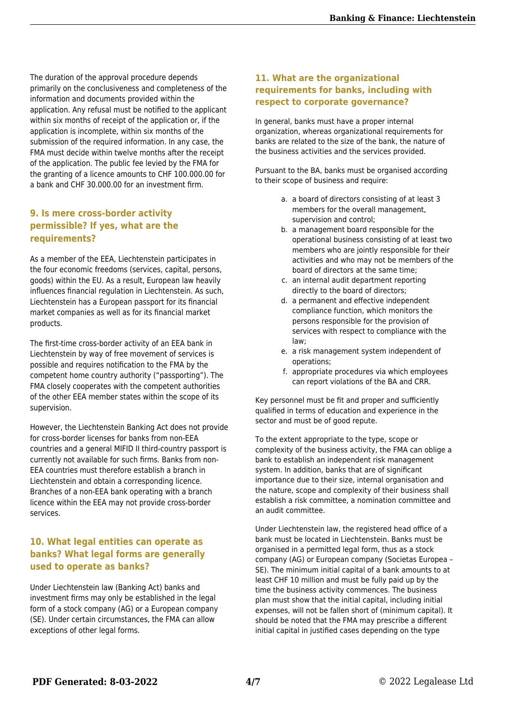The duration of the approval procedure depends primarily on the conclusiveness and completeness of the information and documents provided within the application. Any refusal must be notified to the applicant within six months of receipt of the application or, if the application is incomplete, within six months of the submission of the required information. In any case, the FMA must decide within twelve months after the receipt of the application. The public fee levied by the FMA for the granting of a licence amounts to CHF 100.000.00 for a bank and CHF 30.000.00 for an investment firm.

#### **9. Is mere cross-border activity permissible? If yes, what are the requirements?**

As a member of the EEA, Liechtenstein participates in the four economic freedoms (services, capital, persons, goods) within the EU. As a result, European law heavily influences financial regulation in Liechtenstein. As such, Liechtenstein has a European passport for its financial market companies as well as for its financial market products.

The first-time cross-border activity of an EEA bank in Liechtenstein by way of free movement of services is possible and requires notification to the FMA by the competent home country authority ("passporting"). The FMA closely cooperates with the competent authorities of the other EEA member states within the scope of its supervision.

However, the Liechtenstein Banking Act does not provide for cross-border licenses for banks from non-EEA countries and a general MIFID II third-country passport is currently not available for such firms. Banks from non-EEA countries must therefore establish a branch in Liechtenstein and obtain a corresponding licence. Branches of a non-EEA bank operating with a branch licence within the EEA may not provide cross-border services.

#### **10. What legal entities can operate as banks? What legal forms are generally used to operate as banks?**

Under Liechtenstein law (Banking Act) banks and investment firms may only be established in the legal form of a stock company (AG) or a European company (SE). Under certain circumstances, the FMA can allow exceptions of other legal forms.

#### **11. What are the organizational requirements for banks, including with respect to corporate governance?**

In general, banks must have a proper internal organization, whereas organizational requirements for banks are related to the size of the bank, the nature of the business activities and the services provided.

Pursuant to the BA, banks must be organised according to their scope of business and require:

- a. a board of directors consisting of at least 3 members for the overall management, supervision and control;
- b. a management board responsible for the operational business consisting of at least two members who are jointly responsible for their activities and who may not be members of the board of directors at the same time;
- c. an internal audit department reporting directly to the board of directors;
- d. a permanent and effective independent compliance function, which monitors the persons responsible for the provision of services with respect to compliance with the law;
- e. a risk management system independent of operations;
- f. appropriate procedures via which employees can report violations of the BA and CRR.

Key personnel must be fit and proper and sufficiently qualified in terms of education and experience in the sector and must be of good repute.

To the extent appropriate to the type, scope or complexity of the business activity, the FMA can oblige a bank to establish an independent risk management system. In addition, banks that are of significant importance due to their size, internal organisation and the nature, scope and complexity of their business shall establish a risk committee, a nomination committee and an audit committee.

Under Liechtenstein law, the registered head office of a bank must be located in Liechtenstein. Banks must be organised in a permitted legal form, thus as a stock company (AG) or European company (Societas Europea – SE). The minimum initial capital of a bank amounts to at least CHF 10 million and must be fully paid up by the time the business activity commences. The business plan must show that the initial capital, including initial expenses, will not be fallen short of (minimum capital). It should be noted that the FMA may prescribe a different initial capital in justified cases depending on the type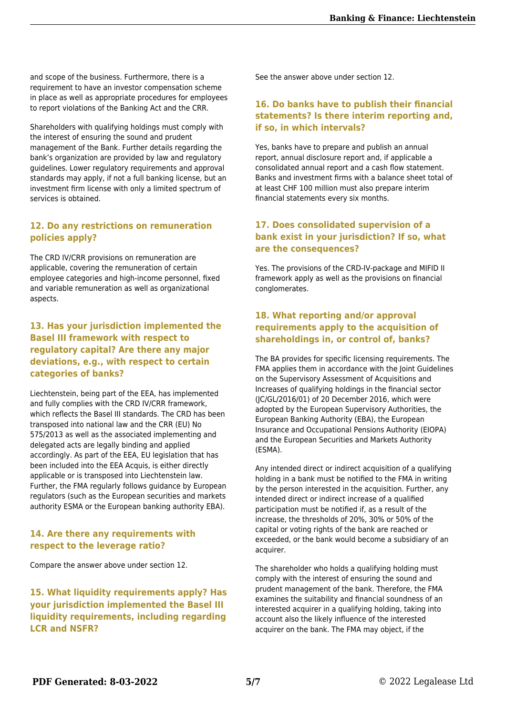and scope of the business. Furthermore, there is a requirement to have an investor compensation scheme in place as well as appropriate procedures for employees to report violations of the Banking Act and the CRR.

Shareholders with qualifying holdings must comply with the interest of ensuring the sound and prudent management of the Bank. Further details regarding the bank's organization are provided by law and regulatory guidelines. Lower regulatory requirements and approval standards may apply, if not a full banking license, but an investment firm license with only a limited spectrum of services is obtained.

#### **12. Do any restrictions on remuneration policies apply?**

The CRD IV/CRR provisions on remuneration are applicable, covering the remuneration of certain employee categories and high-income personnel, fixed and variable remuneration as well as organizational aspects.

#### **13. Has your jurisdiction implemented the Basel III framework with respect to regulatory capital? Are there any major deviations, e.g., with respect to certain categories of banks?**

Liechtenstein, being part of the EEA, has implemented and fully complies with the CRD IV/CRR framework, which reflects the Basel III standards. The CRD has been transposed into national law and the CRR (EU) No 575/2013 as well as the associated implementing and delegated acts are legally binding and applied accordingly. As part of the EEA, EU legislation that has been included into the EEA Acquis, is either directly applicable or is transposed into Liechtenstein law. Further, the FMA regularly follows guidance by European regulators (such as the European securities and markets authority ESMA or the European banking authority EBA).

#### **14. Are there any requirements with respect to the leverage ratio?**

Compare the answer above under section 12.

**15. What liquidity requirements apply? Has your jurisdiction implemented the Basel III liquidity requirements, including regarding LCR and NSFR?**

See the answer above under section 12.

#### **16. Do banks have to publish their financial statements? Is there interim reporting and, if so, in which intervals?**

Yes, banks have to prepare and publish an annual report, annual disclosure report and, if applicable a consolidated annual report and a cash flow statement. Banks and investment firms with a balance sheet total of at least CHF 100 million must also prepare interim financial statements every six months.

#### **17. Does consolidated supervision of a bank exist in your jurisdiction? If so, what are the consequences?**

Yes. The provisions of the CRD-IV-package and MIFID II framework apply as well as the provisions on financial conglomerates.

#### **18. What reporting and/or approval requirements apply to the acquisition of shareholdings in, or control of, banks?**

The BA provides for specific licensing requirements. The FMA applies them in accordance with the Joint Guidelines on the Supervisory Assessment of Acquisitions and Increases of qualifying holdings in the financial sector (JC/GL/2016/01) of 20 December 2016, which were adopted by the European Supervisory Authorities, the European Banking Authority (EBA), the European Insurance and Occupational Pensions Authority (EIOPA) and the European Securities and Markets Authority (ESMA).

Any intended direct or indirect acquisition of a qualifying holding in a bank must be notified to the FMA in writing by the person interested in the acquisition. Further, any intended direct or indirect increase of a qualified participation must be notified if, as a result of the increase, the thresholds of 20%, 30% or 50% of the capital or voting rights of the bank are reached or exceeded, or the bank would become a subsidiary of an acquirer.

The shareholder who holds a qualifying holding must comply with the interest of ensuring the sound and prudent management of the bank. Therefore, the FMA examines the suitability and financial soundness of an interested acquirer in a qualifying holding, taking into account also the likely influence of the interested acquirer on the bank. The FMA may object, if the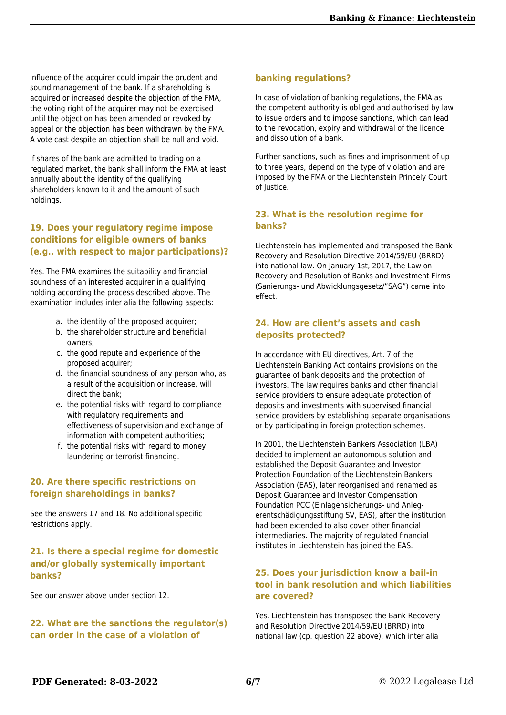influence of the acquirer could impair the prudent and sound management of the bank. If a shareholding is acquired or increased despite the objection of the FMA, the voting right of the acquirer may not be exercised until the objection has been amended or revoked by appeal or the objection has been withdrawn by the FMA. A vote cast despite an objection shall be null and void.

If shares of the bank are admitted to trading on a regulated market, the bank shall inform the FMA at least annually about the identity of the qualifying shareholders known to it and the amount of such holdings.

#### **19. Does your regulatory regime impose conditions for eligible owners of banks (e.g., with respect to major participations)?**

Yes. The FMA examines the suitability and financial soundness of an interested acquirer in a qualifying holding according the process described above. The examination includes inter alia the following aspects:

- a. the identity of the proposed acquirer;
- b. the shareholder structure and beneficial owners;
- c. the good repute and experience of the proposed acquirer;
- d. the financial soundness of any person who, as a result of the acquisition or increase, will direct the bank;
- e. the potential risks with regard to compliance with regulatory requirements and effectiveness of supervision and exchange of information with competent authorities;
- f. the potential risks with regard to money laundering or terrorist financing.

#### **20. Are there specific restrictions on foreign shareholdings in banks?**

See the answers 17 and 18. No additional specific restrictions apply.

#### **21. Is there a special regime for domestic and/or globally systemically important banks?**

See our answer above under section 12.

#### **22. What are the sanctions the regulator(s) can order in the case of a violation of**

#### **banking regulations?**

In case of violation of banking regulations, the FMA as the competent authority is obliged and authorised by law to issue orders and to impose sanctions, which can lead to the revocation, expiry and withdrawal of the licence and dissolution of a bank.

Further sanctions, such as fines and imprisonment of up to three years, depend on the type of violation and are imposed by the FMA or the Liechtenstein Princely Court of lustice.

#### **23. What is the resolution regime for banks?**

Liechtenstein has implemented and transposed the Bank Recovery and Resolution Directive 2014/59/EU (BRRD) into national law. On January 1st, 2017, the Law on Recovery and Resolution of Banks and Investment Firms (Sanierungs- und Abwicklungsgesetz/"SAG") came into effect.

#### **24. How are client's assets and cash deposits protected?**

In accordance with EU directives, Art. 7 of the Liechtenstein Banking Act contains provisions on the guarantee of bank deposits and the protection of investors. The law requires banks and other financial service providers to ensure adequate protection of deposits and investments with supervised financial service providers by establishing separate organisations or by participating in foreign protection schemes.

In 2001, the Liechtenstein Bankers Association (LBA) decided to implement an autonomous solution and established the Deposit Guarantee and Investor Protection Foundation of the Liechtenstein Bankers Association (EAS), later reorganised and renamed as Deposit Guarantee and Investor Compensation Foundation PCC (Einlagensicherungs- und Anlegerentschädigungsstiftung SV, EAS), after the institution had been extended to also cover other financial intermediaries. The majority of regulated financial institutes in Liechtenstein has joined the EAS.

#### **25. Does your jurisdiction know a bail-in tool in bank resolution and which liabilities are covered?**

Yes. Liechtenstein has transposed the Bank Recovery and Resolution Directive 2014/59/EU (BRRD) into national law (cp. question 22 above), which inter alia